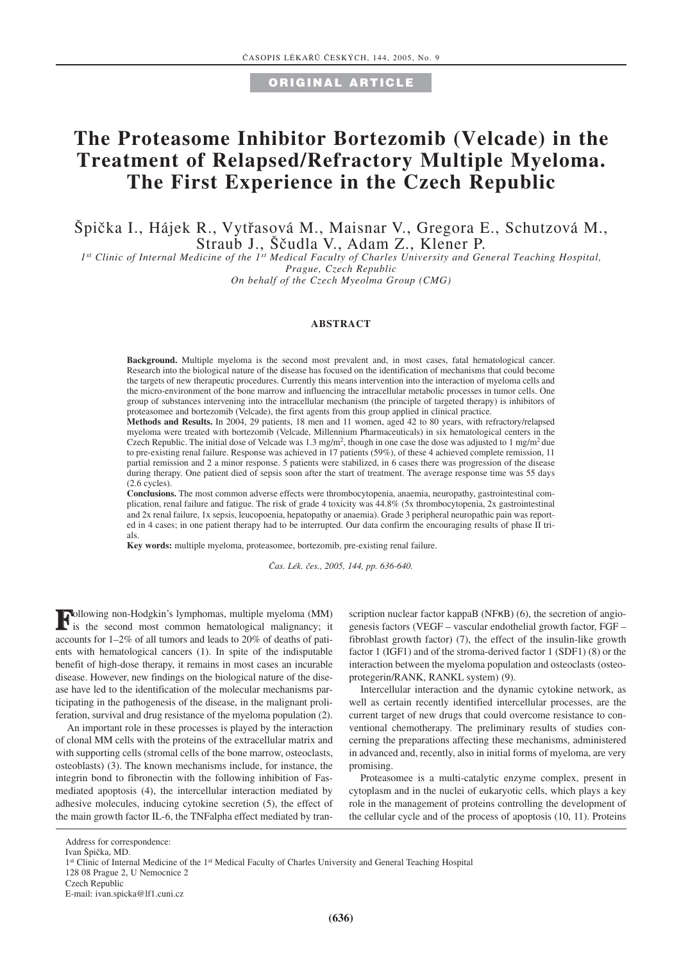**ORIGINAL ARTICLE**

# **The Proteasome Inhibitor Bortezomib (Velcade) in the Treatment of Relapsed/Refractory Multiple Myeloma. The First Experience in the Czech Republic**

Špička I., Hájek R., Vytřasová M., Maisnar V., Gregora E., Schutzová M., Straub J., Ščudla V., Adam Z., Klener P.

*1st Clinic of Internal Medicine of the 1st Medical Faculty of Charles University and General Teaching Hospital, Prague, Czech Republic*

*On behalf of the Czech Myeolma Group (CMG)*

#### **ABSTRACT**

**Background.** Multiple myeloma is the second most prevalent and, in most cases, fatal hematological cancer. Research into the biological nature of the disease has focused on the identification of mechanisms that could become the targets of new therapeutic procedures. Currently this means intervention into the interaction of myeloma cells and the micro-environment of the bone marrow and influencing the intracellular metabolic processes in tumor cells. One group of substances intervening into the intracellular mechanism (the principle of targeted therapy) is inhibitors of proteasomee and bortezomib (Velcade), the first agents from this group applied in clinical practice.

**Methods and Results.** In 2004, 29 patients, 18 men and 11 women, aged 42 to 80 years, with refractory/relapsed myeloma were treated with bortezomib (Velcade, Millennium Pharmaceuticals) in six hematological centers in the Czech Republic. The initial dose of Velcade was 1.3 mg/m<sup>2</sup>, though in one case the dose was adjusted to 1 mg/m<sup>2</sup> due to pre-existing renal failure. Response was achieved in 17 patients (59%), of these 4 achieved complete remission, 11 partial remission and 2 a minor response. 5 patients were stabilized, in 6 cases there was progression of the disease during therapy. One patient died of sepsis soon after the start of treatment. The average response time was 55 days (2.6 cycles).

**Conclusions.** The most common adverse effects were thrombocytopenia, anaemia, neuropathy, gastrointestinal complication, renal failure and fatigue. The risk of grade 4 toxicity was 44.8% (5x thrombocytopenia, 2x gastrointestinal and 2x renal failure, 1x sepsis, leucopoenia, hepatopathy or anaemia). Grade 3 peripheral neuropathic pain was reported in 4 cases; in one patient therapy had to be interrupted. Our data confirm the encouraging results of phase II trials.

**Key words:** multiple myeloma, proteasomee, bortezomib, pre-existing renal failure.

*âas. Lék. ães., 2005, 144, pp. 636-640.*

**F**ollowing non-Hodgkin's lymphomas, multiple myeloma (MM) is the second most common hematological malignancy; it accounts for 1–2% of all tumors and leads to 20% of deaths of patients with hematological cancers (1). In spite of the indisputable benefit of high-dose therapy, it remains in most cases an incurable disease. However, new findings on the biological nature of the disease have led to the identification of the molecular mechanisms participating in the pathogenesis of the disease, in the malignant proliferation, survival and drug resistance of the myeloma population (2).

An important role in these processes is played by the interaction of clonal MM cells with the proteins of the extracellular matrix and with supporting cells (stromal cells of the bone marrow, osteoclasts, osteoblasts) (3). The known mechanisms include, for instance, the integrin bond to fibronectin with the following inhibition of Fasmediated apoptosis (4), the intercellular interaction mediated by adhesive molecules, inducing cytokine secretion (5), the effect of the main growth factor IL-6, the TNFalpha effect mediated by transcription nuclear factor kappaB (NFκB) (6), the secretion of angiogenesis factors (VEGF – vascular endothelial growth factor, FGF – fibroblast growth factor) (7), the effect of the insulin-like growth factor 1 (IGF1) and of the stroma-derived factor 1 (SDF1) (8) or the interaction between the myeloma population and osteoclasts (osteoprotegerin/RANK, RANKL system) (9).

Intercellular interaction and the dynamic cytokine network, as well as certain recently identified intercellular processes, are the current target of new drugs that could overcome resistance to conventional chemotherapy. The preliminary results of studies concerning the preparations affecting these mechanisms, administered in advanced and, recently, also in initial forms of myeloma, are very promising.

Proteasomee is a multi-catalytic enzyme complex, present in cytoplasm and in the nuclei of eukaryotic cells, which plays a key role in the management of proteins controlling the development of the cellular cycle and of the process of apoptosis (10, 11). Proteins

Address for correspondence:

Ivan Špička, MD.

<sup>1&</sup>lt;sup>st</sup> Clinic of Internal Medicine of the 1<sup>st</sup> Medical Faculty of Charles University and General Teaching Hospital

<sup>128 08</sup> Prague 2, U Nemocnice 2

Czech Republic

E-mail: ivan.spicka@lf1.cuni.cz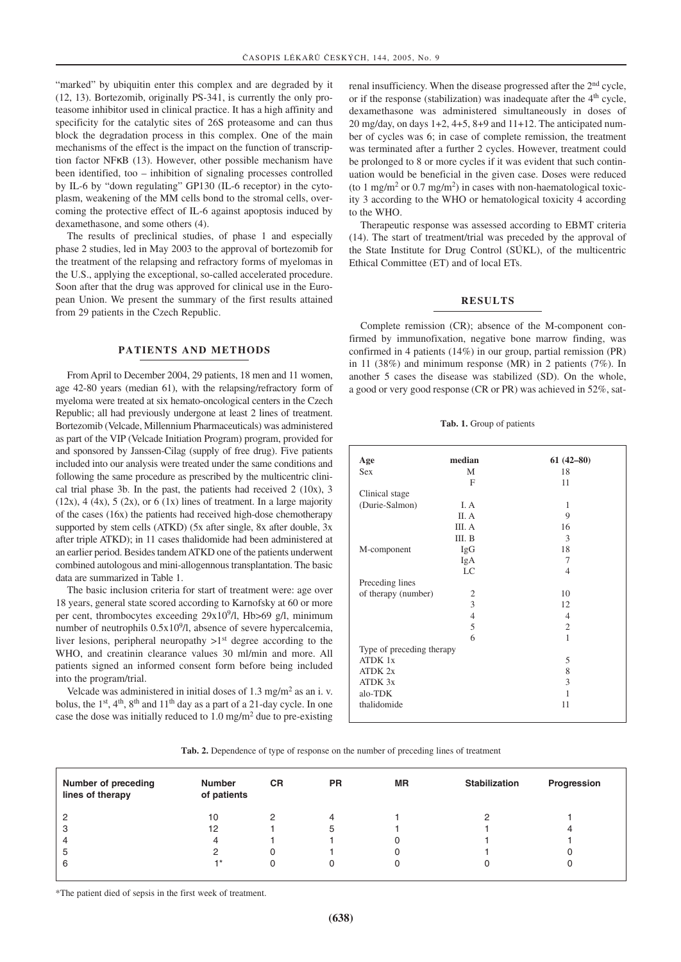"marked" by ubiquitin enter this complex and are degraded by it (12, 13). Bortezomib, originally PS-341, is currently the only proteasome inhibitor used in clinical practice. It has a high affinity and specificity for the catalytic sites of 26S proteasome and can thus block the degradation process in this complex. One of the main mechanisms of the effect is the impact on the function of transcription factor NFκB (13). However, other possible mechanism have been identified, too – inhibition of signaling processes controlled by IL-6 by "down regulating" GP130 (IL-6 receptor) in the cytoplasm, weakening of the MM cells bond to the stromal cells, overcoming the protective effect of IL-6 against apoptosis induced by dexamethasone, and some others (4).

The results of preclinical studies, of phase 1 and especially phase 2 studies, led in May 2003 to the approval of bortezomib for the treatment of the relapsing and refractory forms of myelomas in the U.S., applying the exceptional, so-called accelerated procedure. Soon after that the drug was approved for clinical use in the European Union. We present the summary of the first results attained from 29 patients in the Czech Republic.

### **PATIENTS AND METHODS**

From April to December 2004, 29 patients, 18 men and 11 women, age 42-80 years (median 61), with the relapsing/refractory form of myeloma were treated at six hemato-oncological centers in the Czech Republic; all had previously undergone at least 2 lines of treatment. Bortezomib (Velcade, Millennium Pharmaceuticals) was administered as part of the VIP (Velcade Initiation Program) program, provided for and sponsored by Janssen-Cilag (supply of free drug). Five patients included into our analysis were treated under the same conditions and following the same procedure as prescribed by the multicentric clinical trial phase 3b. In the past, the patients had received 2 (10x), 3  $(12x)$ , 4 (4x), 5 (2x), or 6 (1x) lines of treatment. In a large majority of the cases (16x) the patients had received high-dose chemotherapy supported by stem cells (ATKD) (5x after single, 8x after double, 3x after triple ATKD); in 11 cases thalidomide had been administered at an earlier period. Besides tandem ATKD one of the patients underwent combined autologous and mini-allogennous transplantation. The basic data are summarized in Table 1.

The basic inclusion criteria for start of treatment were: age over 18 years, general state scored according to Karnofsky at 60 or more per cent, thrombocytes exceeding  $29x10<sup>9</sup>/l$ , Hb $>69$  g/l, minimum number of neutrophils  $0.5x10<sup>9</sup>/l$ , absence of severe hypercalcemia, liver lesions, peripheral neuropathy  $>1^{st}$  degree according to the WHO, and creatinin clearance values 30 ml/min and more. All patients signed an informed consent form before being included into the program/trial.

Velcade was administered in initial doses of  $1.3 \text{ mg/m}^2$  as an i. v. bolus, the  $1<sup>st</sup>$ ,  $4<sup>th</sup>$ ,  $8<sup>th</sup>$  and  $11<sup>th</sup>$  day as a part of a 21-day cycle. In one case the dose was initially reduced to  $1.0 \text{ mg/m}^2$  due to pre-existing

renal insufficiency. When the disease progressed after the 2<sup>nd</sup> cycle, or if the response (stabilization) was inadequate after the  $4<sup>th</sup>$  cycle, dexamethasone was administered simultaneously in doses of  $20 \text{ mg/day}$ , on days  $1+2$ ,  $4+5$ ,  $8+9$  and  $11+12$ . The anticipated number of cycles was 6; in case of complete remission, the treatment was terminated after a further 2 cycles. However, treatment could be prolonged to 8 or more cycles if it was evident that such continuation would be beneficial in the given case. Doses were reduced (to 1 mg/m<sup>2</sup> or 0.7 mg/m<sup>2</sup>) in cases with non-haematological toxicity 3 according to the WHO or hematological toxicity 4 according to the WHO.

Therapeutic response was assessed according to EBMT criteria (14). The start of treatment/trial was preceded by the approval of the State Institute for Drug Control (SÚKL), of the multicentric Ethical Committee (ET) and of local ETs.

### **RESULTS**

Complete remission (CR); absence of the M-component confirmed by immunofixation, negative bone marrow finding, was confirmed in 4 patients (14%) in our group, partial remission (PR) in 11 (38%) and minimum response (MR) in 2 patients (7%). In another 5 cases the disease was stabilized (SD). On the whole, a good or very good response (CR or PR) was achieved in 52%, sat-

**Tab. 1.** Group of patients

| Age                       | median         | $61(42 - 80)$  |  |  |  |  |
|---------------------------|----------------|----------------|--|--|--|--|
| Sex                       | M              | 18             |  |  |  |  |
|                           | F              | 11             |  |  |  |  |
| Clinical stage            |                |                |  |  |  |  |
| (Durie-Salmon)            | I. A           | 1              |  |  |  |  |
|                           | II. A          | 9              |  |  |  |  |
|                           | III. A         | 16             |  |  |  |  |
|                           | III. B         | 3              |  |  |  |  |
| M-component               | IgG            | 18             |  |  |  |  |
|                           | IgA            | 7              |  |  |  |  |
|                           | LC             | $\overline{4}$ |  |  |  |  |
| Preceding lines           |                |                |  |  |  |  |
| of therapy (number)       | $\overline{c}$ | 10             |  |  |  |  |
|                           | $\overline{3}$ | 12             |  |  |  |  |
|                           | $\overline{4}$ | $\overline{4}$ |  |  |  |  |
|                           | 5              | $\overline{2}$ |  |  |  |  |
|                           | 6              | 1              |  |  |  |  |
| Type of preceding therapy |                |                |  |  |  |  |
| ATDK 1x                   |                | 5              |  |  |  |  |
| ATDK 2x                   |                | 8              |  |  |  |  |
| ATDK 3x                   |                | 3              |  |  |  |  |
| alo-TDK                   |                | 1              |  |  |  |  |
| thalidomide               |                | 11             |  |  |  |  |
|                           |                |                |  |  |  |  |

**Tab. 2.** Dependence of type of response on the number of preceding lines of treatment

| <b>Number of preceding</b><br>lines of therapy | <b>Number</b><br>of patients | <b>CR</b> | <b>PR</b> | <b>MR</b> | <b>Stabilization</b> | Progression |
|------------------------------------------------|------------------------------|-----------|-----------|-----------|----------------------|-------------|
| 2                                              | 10                           |           | Δ         |           |                      |             |
| 3                                              | 12                           |           | 5         |           |                      |             |
| 4                                              | 4                            |           |           |           |                      |             |
| 5                                              | 2                            |           |           |           |                      |             |
| 6                                              | -1 *                         |           |           |           |                      |             |
|                                                |                              |           |           |           |                      |             |

\*The patient died of sepsis in the first week of treatment.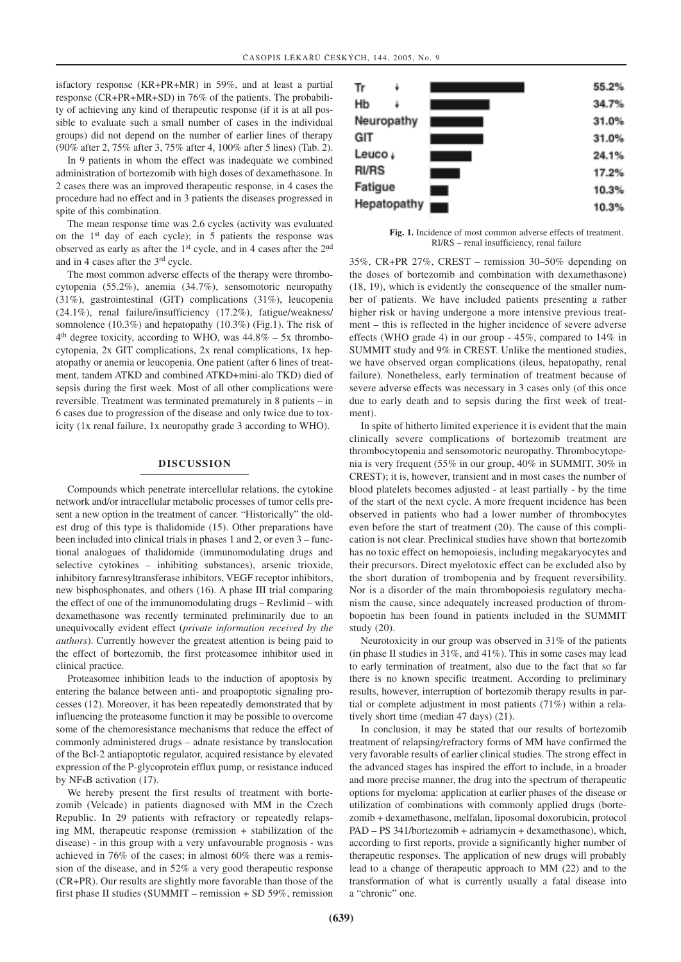isfactory response (KR+PR+MR) in 59%, and at least a partial response (CR+PR+MR+SD) in 76% of the patients. The probability of achieving any kind of therapeutic response (if it is at all possible to evaluate such a small number of cases in the individual groups) did not depend on the number of earlier lines of therapy (90% after 2, 75% after 3, 75% after 4, 100% after 5 lines) (Tab. 2).

In 9 patients in whom the effect was inadequate we combined administration of bortezomib with high doses of dexamethasone. In 2 cases there was an improved therapeutic response, in 4 cases the procedure had no effect and in 3 patients the diseases progressed in spite of this combination.

The mean response time was 2.6 cycles (activity was evaluated on the 1st day of each cycle); in 5 patients the response was observed as early as after the 1st cycle, and in 4 cases after the 2nd and in 4 cases after the 3rd cycle.

The most common adverse effects of the therapy were thrombocytopenia (55.2%), anemia (34.7%), sensomotoric neuropathy (31%), gastrointestinal (GIT) complications (31%), leucopenia (24.1%), renal failure/insufficiency (17.2%), fatigue/weakness/ somnolence (10.3%) and hepatopathy (10.3%) (Fig.1). The risk of  $4<sup>th</sup>$  degree toxicity, according to WHO, was  $44.8\%$  – 5x thrombocytopenia, 2x GIT complications, 2x renal complications, 1x hepatopathy or anemia or leucopenia. One patient (after 6 lines of treatment, tandem ATKD and combined ATKD+mini-alo TKD) died of sepsis during the first week. Most of all other complications were reversible. Treatment was terminated prematurely in 8 patients – in 6 cases due to progression of the disease and only twice due to toxicity (1x renal failure, 1x neuropathy grade 3 according to WHO).

#### **DISCUSSION**

Compounds which penetrate intercellular relations, the cytokine network and/or intracellular metabolic processes of tumor cells present a new option in the treatment of cancer. "Historically" the oldest drug of this type is thalidomide (15). Other preparations have been included into clinical trials in phases 1 and 2, or even 3 – functional analogues of thalidomide (immunomodulating drugs and selective cytokines – inhibiting substances), arsenic trioxide, inhibitory farnresyltransferase inhibitors, VEGF receptor inhibitors, new bisphosphonates, and others (16). A phase III trial comparing the effect of one of the immunomodulating drugs – Revlimid – with dexamethasone was recently terminated preliminarily due to an unequivocally evident effect (*private information received by the authors*). Currently however the greatest attention is being paid to the effect of bortezomib, the first proteasomee inhibitor used in clinical practice.

Proteasomee inhibition leads to the induction of apoptosis by entering the balance between anti- and proapoptotic signaling processes (12). Moreover, it has been repeatedly demonstrated that by influencing the proteasome function it may be possible to overcome some of the chemoresistance mechanisms that reduce the effect of commonly administered drugs – adnate resistance by translocation of the Bcl-2 antiapoptotic regulator, acquired resistance by elevated expression of the P-glycoprotein efflux pump, or resistance induced by NFκB activation (17).

We hereby present the first results of treatment with bortezomib (Velcade) in patients diagnosed with MM in the Czech Republic. In 29 patients with refractory or repeatedly relapsing MM, therapeutic response (remission + stabilization of the disease) - in this group with a very unfavourable prognosis - was achieved in 76% of the cases; in almost 60% there was a remission of the disease, and in 52% a very good therapeutic response (CR+PR). Our results are slightly more favorable than those of the first phase II studies (SUMMIT – remission + SD 59%, remission



**Fig. 1.** Incidence of most common adverse effects of treatment. RI/RS – renal insufficiency, renal failure

35%, CR+PR 27%, CREST – remission 30–50% depending on the doses of bortezomib and combination with dexamethasone) (18, 19), which is evidently the consequence of the smaller number of patients. We have included patients presenting a rather higher risk or having undergone a more intensive previous treatment – this is reflected in the higher incidence of severe adverse effects (WHO grade 4) in our group - 45%, compared to 14% in SUMMIT study and 9% in CREST. Unlike the mentioned studies, we have observed organ complications (ileus, hepatopathy, renal failure). Nonetheless, early termination of treatment because of severe adverse effects was necessary in 3 cases only (of this once due to early death and to sepsis during the first week of treatment).

In spite of hitherto limited experience it is evident that the main clinically severe complications of bortezomib treatment are thrombocytopenia and sensomotoric neuropathy. Thrombocytopenia is very frequent (55% in our group, 40% in SUMMIT, 30% in CREST); it is, however, transient and in most cases the number of blood platelets becomes adjusted - at least partially - by the time of the start of the next cycle. A more frequent incidence has been observed in patients who had a lower number of thrombocytes even before the start of treatment (20). The cause of this complication is not clear. Preclinical studies have shown that bortezomib has no toxic effect on hemopoiesis, including megakaryocytes and their precursors. Direct myelotoxic effect can be excluded also by the short duration of trombopenia and by frequent reversibility. Nor is a disorder of the main thrombopoiesis regulatory mechanism the cause, since adequately increased production of thrombopoetin has been found in patients included in the SUMMIT study (20).

Neurotoxicity in our group was observed in 31% of the patients (in phase II studies in 31%, and 41%). This in some cases may lead to early termination of treatment, also due to the fact that so far there is no known specific treatment. According to preliminary results, however, interruption of bortezomib therapy results in partial or complete adjustment in most patients (71%) within a relatively short time (median 47 days) (21).

In conclusion, it may be stated that our results of bortezomib treatment of relapsing/refractory forms of MM have confirmed the very favorable results of earlier clinical studies. The strong effect in the advanced stages has inspired the effort to include, in a broader and more precise manner, the drug into the spectrum of therapeutic options for myeloma: application at earlier phases of the disease or utilization of combinations with commonly applied drugs (bortezomib + dexamethasone, melfalan, liposomal doxorubicin, protocol PAD – PS 341/bortezomib + adriamycin + dexamethasone), which, according to first reports, provide a significantly higher number of therapeutic responses. The application of new drugs will probably lead to a change of therapeutic approach to MM (22) and to the transformation of what is currently usually a fatal disease into a "chronic" one.